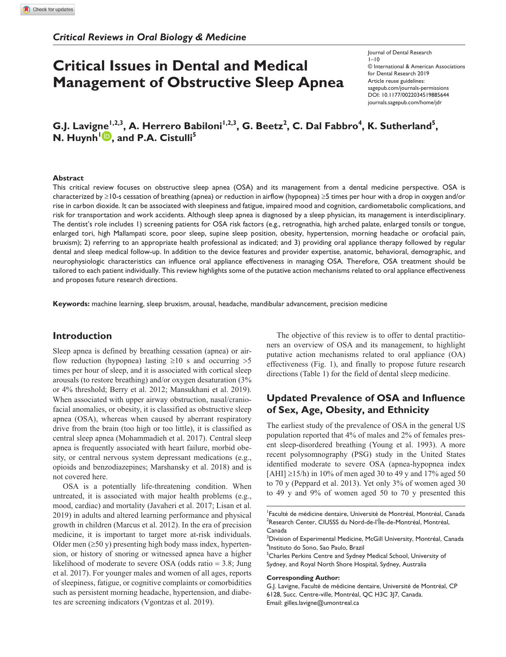# **Critical Issues in Dental and Medical Management of Obstructive Sleep Apnea**

https://doi.org/10.1177/0022034519885644 DOI: 10.1177/0022034519885644 Journal of Dental Research  $1 - 10$ © International & American Associations for Dental Research 2019 Article reuse guidelines: [sagepub.com/journals-permissions](https://us.sagepub.com/en-us/journals-permissions) [journals.sagepub.com/home/jdr](https://journals.sagepub.com/home/jdr)

# G.J. Lavigne<sup>1,2,3</sup>, A. Herrero Babiloni<sup>1,2,3</sup>, G. Beetz<sup>2</sup>, C. Dal Fabbro<sup>4</sup>, K. Sutherland<sup>5</sup>, **N. Huynh<sup>1</sup><sup>1</sup></del>, and P.A. Cistulli<sup>5</sup>**

#### **Abstract**

This critical review focuses on obstructive sleep apnea (OSA) and its management from a dental medicine perspective. OSA is characterized by ≥10-s cessation of breathing (apnea) or reduction in airflow (hypopnea) ≥5 times per hour with a drop in oxygen and/or rise in carbon dioxide. It can be associated with sleepiness and fatigue, impaired mood and cognition, cardiometabolic complications, and risk for transportation and work accidents. Although sleep apnea is diagnosed by a sleep physician, its management is interdisciplinary. The dentist's role includes 1) screening patients for OSA risk factors (e.g., retrognathia, high arched palate, enlarged tonsils or tongue, enlarged tori, high Mallampati score, poor sleep, supine sleep position, obesity, hypertension, morning headache or orofacial pain, bruxism); 2) referring to an appropriate health professional as indicated; and 3) providing oral appliance therapy followed by regular dental and sleep medical follow-up. In addition to the device features and provider expertise, anatomic, behavioral, demographic, and neurophysiologic characteristics can influence oral appliance effectiveness in managing OSA. Therefore, OSA treatment should be tailored to each patient individually. This review highlights some of the putative action mechanisms related to oral appliance effectiveness and proposes future research directions.

**Keywords:** machine learning, sleep bruxism, arousal, headache, mandibular advancement, precision medicine

### **Introduction**

Sleep apnea is defined by breathing cessation (apnea) or airflow reduction (hypopnea) lasting  $\geq 10$  s and occurring  $> 5$ times per hour of sleep, and it is associated with cortical sleep arousals (to restore breathing) and/or oxygen desaturation (3% or 4% threshold; Berry et al. 2012; Mansukhani et al. 2019). When associated with upper airway obstruction, nasal/craniofacial anomalies, or obesity, it is classified as obstructive sleep apnea (OSA), whereas when caused by aberrant respiratory drive from the brain (too high or too little), it is classified as central sleep apnea (Mohammadieh et al. 2017). Central sleep apnea is frequently associated with heart failure, morbid obesity, or central nervous system depressant medications (e.g., opioids and benzodiazepines; Marshansky et al. 2018) and is not covered here.

OSA is a potentially life-threatening condition. When untreated, it is associated with major health problems (e.g., mood, cardiac) and mortality (Javaheri et al. 2017; Lisan et al. 2019) in adults and altered learning performance and physical growth in children (Marcus et al. 2012). In the era of precision medicine, it is important to target more at-risk individuals. Older men  $(\geq 50 \text{ y})$  presenting high body mass index, hypertension, or history of snoring or witnessed apnea have a higher likelihood of moderate to severe OSA (odds ratio = 3.8; Jung et al. 2017). For younger males and women of all ages, reports of sleepiness, fatigue, or cognitive complaints or comorbidities such as persistent morning headache, hypertension, and diabetes are screening indicators (Vgontzas et al. 2019).

The objective of this review is to offer to dental practitioners an overview of OSA and its management, to highlight putative action mechanisms related to oral appliance (OA) effectiveness (Fig. 1), and finally to propose future research directions (Table 1) for the field of dental sleep medicine.

# **Updated Prevalence of OSA and Influence of Sex, Age, Obesity, and Ethnicity**

The earliest study of the prevalence of OSA in the general US population reported that 4% of males and 2% of females present sleep-disordered breathing (Young et al. 1993). A more recent polysomnography (PSG) study in the United States identified moderate to severe OSA (apnea-hypopnea index [AHI] ≥15/h) in 10% of men aged 30 to 49 y and 17% aged 50 to 70 y (Peppard et al. 2013). Yet only 3% of women aged 30 to 49 y and 9% of women aged 50 to 70 y presented this

#### **Corresponding Author:**

G.J. Lavigne, Faculté de médicine dentaire, Université de Montréal, CP 6128, Succ. Centre-ville, Montréal, QC H3C 3J7, Canada. Email: [gilles.lavigne@umontreal.ca](mailto:gilles.lavigne@umontreal.ca)

<sup>1</sup> Faculté de médicine dentaire, Université de Montréal, Montréal, Canada 2 Research Center, CIUSSS du Nord-de-l'Île-de-Montréal, Montréal, Canada

<sup>&</sup>lt;sup>3</sup>Division of Experimental Medicine, McGill University, Montréal, Canada 4 Instituto do Sono, Sao Paulo, Brazil

<sup>&</sup>lt;sup>5</sup>Charles Perkins Centre and Sydney Medical School, University of Sydney, and Royal North Shore Hospital, Sydney, Australia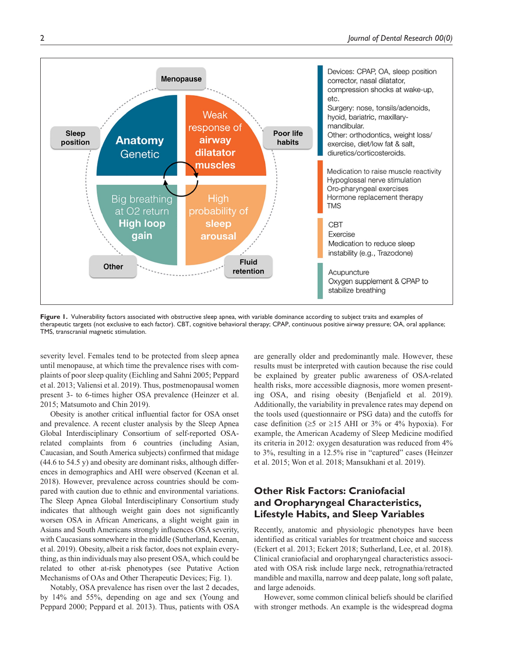

Figure 1. Vulnerability factors associated with obstructive sleep apnea, with variable dominance according to subject traits and examples of therapeutic targets (not exclusive to each factor). CBT, cognitive behavioral therapy; CPAP, continuous positive airway pressure; OA, oral appliance; TMS, transcranial magnetic stimulation.

severity level. Females tend to be protected from sleep apnea until menopause, at which time the prevalence rises with complaints of poor sleep quality (Eichling and Sahni 2005; Peppard et al. 2013; Valiensi et al. 2019). Thus, postmenopausal women present 3- to 6-times higher OSA prevalence (Heinzer et al. 2015; Matsumoto and Chin 2019).

Obesity is another critical influential factor for OSA onset and prevalence. A recent cluster analysis by the Sleep Apnea Global Interdisciplinary Consortium of self-reported OSArelated complaints from 6 countries (including Asian, Caucasian, and South America subjects) confirmed that midage (44.6 to 54.5 y) and obesity are dominant risks, although differences in demographics and AHI were observed (Keenan et al. 2018). However, prevalence across countries should be compared with caution due to ethnic and environmental variations. The Sleep Apnea Global Interdisciplinary Consortium study indicates that although weight gain does not significantly worsen OSA in African Americans, a slight weight gain in Asians and South Americans strongly influences OSA severity, with Caucasians somewhere in the middle (Sutherland, Keenan, et al. 2019). Obesity, albeit a risk factor, does not explain everything, as thin individuals may also present OSA, which could be related to other at-risk phenotypes (see Putative Action Mechanisms of OAs and Other Therapeutic Devices; Fig. 1).

Notably, OSA prevalence has risen over the last 2 decades, by 14% and 55%, depending on age and sex (Young and Peppard 2000; Peppard et al. 2013). Thus, patients with OSA

are generally older and predominantly male. However, these results must be interpreted with caution because the rise could be explained by greater public awareness of OSA-related health risks, more accessible diagnosis, more women presenting OSA, and rising obesity (Benjafield et al. 2019). Additionally, the variability in prevalence rates may depend on the tools used (questionnaire or PSG data) and the cutoffs for case definition ( $\geq$ 5 or  $\geq$ 15 AHI or 3% or 4% hypoxia). For example, the American Academy of Sleep Medicine modified its criteria in 2012: oxygen desaturation was reduced from 4% to 3%, resulting in a 12.5% rise in "captured" cases (Heinzer et al. 2015; Won et al. 2018; Mansukhani et al. 2019).

# **Other Risk Factors: Craniofacial and Oropharyngeal Characteristics, Lifestyle Habits, and Sleep Variables**

Recently, anatomic and physiologic phenotypes have been identified as critical variables for treatment choice and success (Eckert et al. 2013; Eckert 2018; Sutherland, Lee, et al. 2018). Clinical craniofacial and oropharyngeal characteristics associated with OSA risk include large neck, retrognathia/retracted mandible and maxilla, narrow and deep palate, long soft palate, and large adenoids.

However, some common clinical beliefs should be clarified with stronger methods. An example is the widespread dogma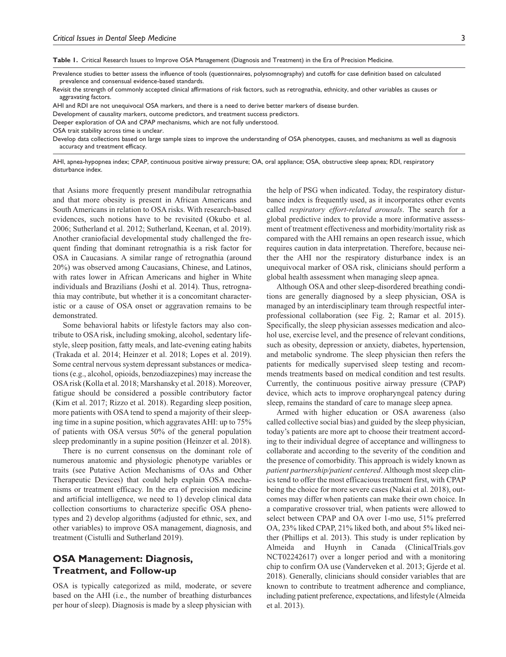**Table 1.** Critical Research Issues to Improve OSA Management (Diagnosis and Treatment) in the Era of Precision Medicine.

Prevalence studies to better assess the influence of tools (questionnaires, polysomnography) and cutoffs for case definition based on calculated prevalence and consensual evidence-based standards.

Revisit the strength of commonly accepted clinical affirmations of risk factors, such as retrognathia, ethnicity, and other variables as causes or aggravating factors.

AHI and RDI are not unequivocal OSA markers, and there is a need to derive better markers of disease burden.

Development of causality markers, outcome predictors, and treatment success predictors.

Deeper exploration of OA and CPAP mechanisms, which are not fully understood.

OSA trait stability across time is unclear.

Develop data collections based on large sample sizes to improve the understanding of OSA phenotypes, causes, and mechanisms as well as diagnosis accuracy and treatment efficacy.

AHI, apnea-hypopnea index; CPAP, continuous positive airway pressure; OA, oral appliance; OSA, obstructive sleep apnea; RDI, respiratory disturbance index.

that Asians more frequently present mandibular retrognathia and that more obesity is present in African Americans and South Americans in relation to OSA risks. With research-based evidences, such notions have to be revisited (Okubo et al. 2006; Sutherland et al. 2012; Sutherland, Keenan, et al. 2019). Another craniofacial developmental study challenged the frequent finding that dominant retrognathia is a risk factor for OSA in Caucasians. A similar range of retrognathia (around 20%) was observed among Caucasians, Chinese, and Latinos, with rates lower in African Americans and higher in White individuals and Brazilians (Joshi et al. 2014). Thus, retrognathia may contribute, but whether it is a concomitant characteristic or a cause of OSA onset or aggravation remains to be demonstrated.

Some behavioral habits or lifestyle factors may also contribute to OSA risk, including smoking, alcohol, sedentary lifestyle, sleep position, fatty meals, and late-evening eating habits (Trakada et al. 2014; Heinzer et al. 2018; Lopes et al. 2019). Some central nervous system depressant substances or medications (e.g., alcohol, opioids, benzodiazepines) may increase the OSA risk (Kolla et al. 2018; Marshansky et al. 2018). Moreover, fatigue should be considered a possible contributory factor (Kim et al. 2017; Rizzo et al. 2018). Regarding sleep position, more patients with OSA tend to spend a majority of their sleeping time in a supine position, which aggravates AHI: up to 75% of patients with OSA versus 50% of the general population sleep predominantly in a supine position (Heinzer et al. 2018).

There is no current consensus on the dominant role of numerous anatomic and physiologic phenotype variables or traits (see Putative Action Mechanisms of OAs and Other Therapeutic Devices) that could help explain OSA mechanisms or treatment efficacy. In the era of precision medicine and artificial intelligence, we need to 1) develop clinical data collection consortiums to characterize specific OSA phenotypes and 2) develop algorithms (adjusted for ethnic, sex, and other variables) to improve OSA management, diagnosis, and treatment (Cistulli and Sutherland 2019).

# **OSA Management: Diagnosis, Treatment, and Follow-up**

OSA is typically categorized as mild, moderate, or severe based on the AHI (i.e., the number of breathing disturbances per hour of sleep). Diagnosis is made by a sleep physician with

the help of PSG when indicated. Today, the respiratory disturbance index is frequently used, as it incorporates other events called *respiratory effort-related arousals*. The search for a global predictive index to provide a more informative assessment of treatment effectiveness and morbidity/mortality risk as compared with the AHI remains an open research issue, which requires caution in data interpretation. Therefore, because neither the AHI nor the respiratory disturbance index is an unequivocal marker of OSA risk, clinicians should perform a global health assessment when managing sleep apnea.

Although OSA and other sleep-disordered breathing conditions are generally diagnosed by a sleep physician, OSA is managed by an interdisciplinary team through respectful interprofessional collaboration (see Fig. 2; Ramar et al. 2015). Specifically, the sleep physician assesses medication and alcohol use, exercise level, and the presence of relevant conditions, such as obesity, depression or anxiety, diabetes, hypertension, and metabolic syndrome. The sleep physician then refers the patients for medically supervised sleep testing and recommends treatments based on medical condition and test results. Currently, the continuous positive airway pressure (CPAP) device, which acts to improve oropharyngeal patency during sleep, remains the standard of care to manage sleep apnea.

Armed with higher education or OSA awareness (also called collective social bias) and guided by the sleep physician, today's patients are more apt to choose their treatment according to their individual degree of acceptance and willingness to collaborate and according to the severity of the condition and the presence of comorbidity. This approach is widely known as *patient partnership/patient centered*. Although most sleep clinics tend to offer the most efficacious treatment first, with CPAP being the choice for more severe cases (Nakai et al. 2018), outcomes may differ when patients can make their own choice. In a comparative crossover trial, when patients were allowed to select between CPAP and OA over 1-mo use, 51% preferred OA, 23% liked CPAP, 21% liked both, and about 5% liked neither (Phillips et al. 2013). This study is under replication by Almeida and Huynh in Canada (ClinicalTrials.gov NCT02242617) over a longer period and with a monitoring chip to confirm OA use (Vanderveken et al. 2013; Gjerde et al. 2018). Generally, clinicians should consider variables that are known to contribute to treatment adherence and compliance, including patient preference, expectations, and lifestyle (Almeida et al. 2013).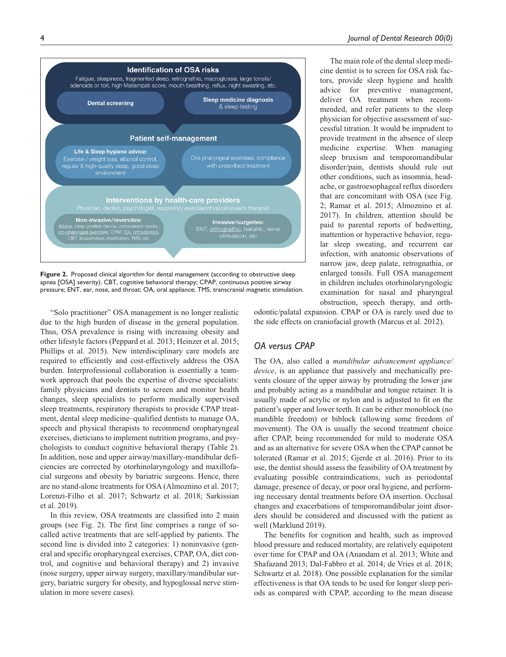The main role of the dental sleep medicine dentist is to screen for OSA risk factors, provide sleep hygiene and health advice for preventive management, deliver OA treatment when recommended, and refer patients to the sleep physician for objective assessment of successful titration. It would be imprudent to provide treatment in the absence of sleep medicine expertise. When managing sleep bruxism and temporomandibular disorder/pain, dentists should rule out other conditions, such as insomnia, headache, or gastroesophageal reflux disorders that are concomitant with OSA (see Fig. 2; Ramar et al. 2015; Almoznino et al.



**Figure 2.** Proposed clinical algorithm for dental management (according to obstructive sleep apnea [OSA] severity). CBT, cognitive behavioral therapy; CPAP, continuous positive airway pressure; ENT, ear, nose, and throat; OA, oral appliance; TMS, transcranial magnetic stimulation.

"Solo practitioner" OSA management is no longer realistic due to the high burden of disease in the general population. Thus, OSA prevalence is rising with increasing obesity and other lifestyle factors (Peppard et al. 2013; Heinzer et al. 2015; Phillips et al. 2015). New interdisciplinary care models are required to efficiently and cost-effectively address the OSA burden. Interprofessional collaboration is essentially a teamwork approach that pools the expertise of diverse specialists: family physicians and dentists to screen and monitor health changes, sleep specialists to perform medically supervised sleep treatments, respiratory therapists to provide CPAP treatment, dental sleep medicine–qualified dentists to manage OA, speech and physical therapists to recommend oropharyngeal exercises, dieticians to implement nutrition programs, and psychologists to conduct cognitive behavioral therapy (Table 2). In addition, nose and upper airway/maxillary-mandibular deficiencies are corrected by otorhinolaryngology and maxillofacial surgeons and obesity by bariatric surgeons. Hence, there are no stand-alone treatments for OSA (Almoznino et al. 2017; Lorenzi-Filho et al. 2017; Schwartz et al. 2018; Sarkissian et al. 2019).

In this review, OSA treatments are classified into 2 main groups (see Fig. 2). The first line comprises a range of socalled active treatments that are self-applied by patients. The second line is divided into 2 categories: 1) noninvasive (general and specific oropharyngeal exercises, CPAP, OA, diet control, and cognitive and behavioral therapy) and 2) invasive (nose surgery, upper airway surgery, maxillary/mandibular surgery, bariatric surgery for obesity, and hypoglossal nerve stimulation in more severe cases).

2017). In children, attention should be paid to parental reports of bedwetting, inattention or hyperactive behavior, regular sleep sweating, and recurrent ear infection, with anatomic observations of narrow jaw, deep palate, retrognathia, or enlarged tonsils. Full OSA management in children includes otorhinolaryngologic examination for nasal and pharyngeal obstruction, speech therapy, and orth-

odontic/palatal expansion. CPAP or OA is rarely used due to the side effects on craniofacial growth (Marcus et al. 2012).

### *OA versus CPAP*

The OA, also called a *mandibular advancement appliance/ device*, is an appliance that passively and mechanically prevents closure of the upper airway by protruding the lower jaw and probably acting as a mandibular and tongue retainer. It is usually made of acrylic or nylon and is adjusted to fit on the patient's upper and lower teeth. It can be either monoblock (no mandible freedom) or biblock (allowing some freedom of movement). The OA is usually the second treatment choice after CPAP, being recommended for mild to moderate OSA and as an alternative for severe OSA when the CPAP cannot be tolerated (Ramar et al. 2015; Gjerde et al. 2016). Prior to its use, the dentist should assess the feasibility of OA treatment by evaluating possible contraindications, such as periodontal damage, presence of decay, or poor oral hygiene, and performing necessary dental treatments before OA insertion. Occlusal changes and exacerbations of temporomandibular joint disorders should be considered and discussed with the patient as well (Marklund 2019).

The benefits for cognition and health, such as improved blood pressure and reduced mortality, are relatively equipotent over time for CPAP and OA (Anandam et al. 2013; White and Shafazand 2013; Dal-Fabbro et al. 2014; de Vries et al. 2018; Schwartz et al. 2018). One possible explanation for the similar effectiveness is that OA tends to be used for longer sleep periods as compared with CPAP, according to the mean disease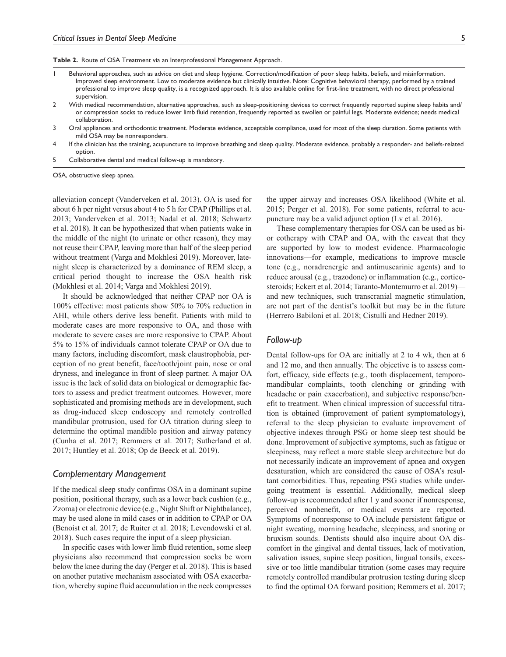**Table 2.** Route of OSA Treatment via an Interprofessional Management Approach.

- 1 Behavioral approaches, such as advice on diet and sleep hygiene. Correction/modification of poor sleep habits, beliefs, and misinformation. Improved sleep environment. Low to moderate evidence but clinically intuitive. Note: Cognitive behavioral therapy, performed by a trained professional to improve sleep quality, is a recognized approach. It is also available online for first-line treatment, with no direct professional supervision.
- 2 With medical recommendation, alternative approaches, such as sleep-positioning devices to correct frequently reported supine sleep habits and/ or compression socks to reduce lower limb fluid retention, frequently reported as swollen or painful legs. Moderate evidence; needs medical collaboration.
- 3 Oral appliances and orthodontic treatment. Moderate evidence, acceptable compliance, used for most of the sleep duration. Some patients with mild OSA may be nonresponders.
- 4 If the clinician has the training, acupuncture to improve breathing and sleep quality. Moderate evidence, probably a responder- and beliefs-related option.
- 5 Collaborative dental and medical follow-up is mandatory.

OSA, obstructive sleep apnea.

alleviation concept (Vanderveken et al. 2013). OA is used for about 6 h per night versus about 4 to 5 h for CPAP (Phillips et al. 2013; Vanderveken et al. 2013; Nadal et al. 2018; Schwartz et al. 2018). It can be hypothesized that when patients wake in the middle of the night (to urinate or other reason), they may not reuse their CPAP, leaving more than half of the sleep period without treatment (Varga and Mokhlesi 2019). Moreover, latenight sleep is characterized by a dominance of REM sleep, a critical period thought to increase the OSA health risk (Mokhlesi et al. 2014; Varga and Mokhlesi 2019).

It should be acknowledged that neither CPAP nor OA is 100% effective: most patients show 50% to 70% reduction in AHI, while others derive less benefit. Patients with mild to moderate cases are more responsive to OA, and those with moderate to severe cases are more responsive to CPAP. About 5% to 15% of individuals cannot tolerate CPAP or OA due to many factors, including discomfort, mask claustrophobia, perception of no great benefit, face/tooth/joint pain, nose or oral dryness, and inelegance in front of sleep partner. A major OA issue is the lack of solid data on biological or demographic factors to assess and predict treatment outcomes. However, more sophisticated and promising methods are in development, such as drug-induced sleep endoscopy and remotely controlled mandibular protrusion, used for OA titration during sleep to determine the optimal mandible position and airway patency (Cunha et al. 2017; Remmers et al. 2017; Sutherland et al. 2017; Huntley et al. 2018; Op de Beeck et al. 2019).

#### *Complementary Management*

If the medical sleep study confirms OSA in a dominant supine position, positional therapy, such as a lower back cushion (e.g., Zzoma) or electronic device (e.g., Night Shift or Nightbalance), may be used alone in mild cases or in addition to CPAP or OA (Benoist et al. 2017; de Ruiter et al. 2018; Levendowski et al. 2018). Such cases require the input of a sleep physician.

In specific cases with lower limb fluid retention, some sleep physicians also recommend that compression socks be worn below the knee during the day (Perger et al. 2018). This is based on another putative mechanism associated with OSA exacerbation, whereby supine fluid accumulation in the neck compresses the upper airway and increases OSA likelihood (White et al. 2015; Perger et al. 2018). For some patients, referral to acupuncture may be a valid adjunct option (Lv et al. 2016).

These complementary therapies for OSA can be used as bior cotherapy with CPAP and OA, with the caveat that they are supported by low to modest evidence. Pharmacologic innovations—for example, medications to improve muscle tone (e.g., noradrenergic and antimuscarinic agents) and to reduce arousal (e.g., trazodone) or inflammation (e.g., corticosteroids; Eckert et al. 2014; Taranto-Montemurro et al. 2019) and new techniques, such transcranial magnetic stimulation, are not part of the dentist's toolkit but may be in the future (Herrero Babiloni et al. 2018; Cistulli and Hedner 2019).

#### *Follow-up*

Dental follow-ups for OA are initially at 2 to 4 wk, then at 6 and 12 mo, and then annually. The objective is to assess comfort, efficacy, side effects (e.g., tooth displacement, temporomandibular complaints, tooth clenching or grinding with headache or pain exacerbation), and subjective response/benefit to treatment. When clinical impression of successful titration is obtained (improvement of patient symptomatology), referral to the sleep physician to evaluate improvement of objective indexes through PSG or home sleep test should be done. Improvement of subjective symptoms, such as fatigue or sleepiness, may reflect a more stable sleep architecture but do not necessarily indicate an improvement of apnea and oxygen desaturation, which are considered the cause of OSA's resultant comorbidities. Thus, repeating PSG studies while undergoing treatment is essential. Additionally, medical sleep follow-up is recommended after 1 y and sooner if nonresponse, perceived nonbenefit, or medical events are reported. Symptoms of nonresponse to OA include persistent fatigue or night sweating, morning headache, sleepiness, and snoring or bruxism sounds. Dentists should also inquire about OA discomfort in the gingival and dental tissues, lack of motivation, salivation issues, supine sleep position, lingual tonsils, excessive or too little mandibular titration (some cases may require remotely controlled mandibular protrusion testing during sleep to find the optimal OA forward position; Remmers et al. 2017;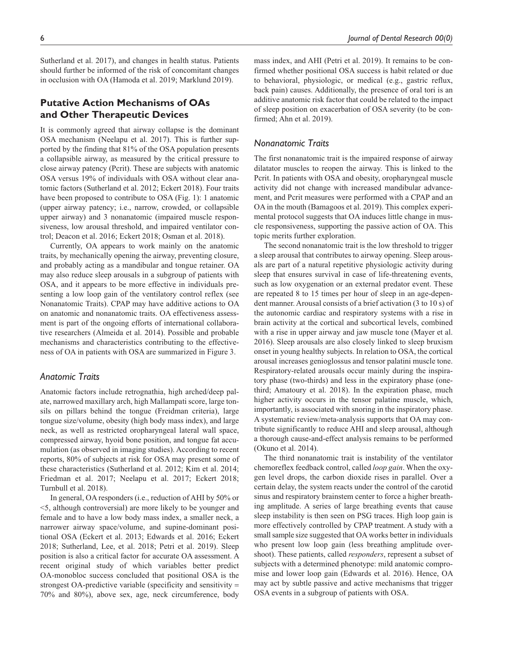Sutherland et al. 2017), and changes in health status. Patients should further be informed of the risk of concomitant changes in occlusion with OA (Hamoda et al. 2019; Marklund 2019).

## **Putative Action Mechanisms of OAs and Other Therapeutic Devices**

It is commonly agreed that airway collapse is the dominant OSA mechanism (Neelapu et al. 2017). This is further supported by the finding that 81% of the OSA population presents a collapsible airway, as measured by the critical pressure to close airway patency (Pcrit). These are subjects with anatomic OSA versus 19% of individuals with OSA without clear anatomic factors (Sutherland et al. 2012; Eckert 2018). Four traits have been proposed to contribute to OSA (Fig. 1): 1 anatomic (upper airway patency; i.e., narrow, crowded, or collapsible upper airway) and 3 nonanatomic (impaired muscle responsiveness, low arousal threshold, and impaired ventilator control; Deacon et al. 2016; Eckert 2018; Osman et al. 2018).

Currently, OA appears to work mainly on the anatomic traits, by mechanically opening the airway, preventing closure, and probably acting as a mandibular and tongue retainer. OA may also reduce sleep arousals in a subgroup of patients with OSA, and it appears to be more effective in individuals presenting a low loop gain of the ventilatory control reflex (see Nonanatomic Traits). CPAP may have additive actions to OA on anatomic and nonanatomic traits. OA effectiveness assessment is part of the ongoing efforts of international collaborative researchers (Almeida et al. 2014). Possible and probable mechanisms and characteristics contributing to the effectiveness of OA in patients with OSA are summarized in Figure 3.

### *Anatomic Traits*

Anatomic factors include retrognathia, high arched/deep palate, narrowed maxillary arch, high Mallampati score, large tonsils on pillars behind the tongue (Freidman criteria), large tongue size/volume, obesity (high body mass index), and large neck, as well as restricted oropharyngeal lateral wall space, compressed airway, hyoid bone position, and tongue fat accumulation (as observed in imaging studies). According to recent reports, 80% of subjects at risk for OSA may present some of these characteristics (Sutherland et al. 2012; Kim et al. 2014; Friedman et al. 2017; Neelapu et al. 2017; Eckert 2018; Turnbull et al. 2018).

In general, OA responders (i.e., reduction of AHI by 50% or <5, although controversial) are more likely to be younger and female and to have a low body mass index, a smaller neck, a narrower airway space/volume, and supine-dominant positional OSA (Eckert et al. 2013; Edwards et al. 2016; Eckert 2018; Sutherland, Lee, et al. 2018; Petri et al. 2019). Sleep position is also a critical factor for accurate OA assessment. A recent original study of which variables better predict OA-monobloc success concluded that positional OSA is the strongest OA-predictive variable (specificity and sensitivity = 70% and 80%), above sex, age, neck circumference, body mass index, and AHI (Petri et al. 2019). It remains to be confirmed whether positional OSA success is habit related or due to behavioral, physiologic, or medical (e.g., gastric reflux, back pain) causes. Additionally, the presence of oral tori is an additive anatomic risk factor that could be related to the impact of sleep position on exacerbation of OSA severity (to be confirmed; Ahn et al. 2019).

### *Nonanatomic Traits*

The first nonanatomic trait is the impaired response of airway dilatator muscles to reopen the airway. This is linked to the Pcrit. In patients with OSA and obesity, oropharyngeal muscle activity did not change with increased mandibular advancement, and Pcrit measures were performed with a CPAP and an OA in the mouth (Bamagoos et al. 2019). This complex experimental protocol suggests that OA induces little change in muscle responsiveness, supporting the passive action of OA. This topic merits further exploration.

The second nonanatomic trait is the low threshold to trigger a sleep arousal that contributes to airway opening. Sleep arousals are part of a natural repetitive physiologic activity during sleep that ensures survival in case of life-threatening events, such as low oxygenation or an external predator event. These are repeated 8 to 15 times per hour of sleep in an age-dependent manner. Arousal consists of a brief activation (3 to 10 s) of the autonomic cardiac and respiratory systems with a rise in brain activity at the cortical and subcortical levels, combined with a rise in upper airway and jaw muscle tone (Mayer et al. 2016). Sleep arousals are also closely linked to sleep bruxism onset in young healthy subjects. In relation to OSA, the cortical arousal increases genioglossus and tensor palatini muscle tone. Respiratory-related arousals occur mainly during the inspiratory phase (two-thirds) and less in the expiratory phase (onethird; Amatoury et al. 2018). In the expiration phase, much higher activity occurs in the tensor palatine muscle, which, importantly, is associated with snoring in the inspiratory phase. A systematic review/meta-analysis supports that OA may contribute significantly to reduce AHI and sleep arousal, although a thorough cause-and-effect analysis remains to be performed (Okuno et al. 2014).

The third nonanatomic trait is instability of the ventilator chemoreflex feedback control, called *loop gain*. When the oxygen level drops, the carbon dioxide rises in parallel. Over a certain delay, the system reacts under the control of the carotid sinus and respiratory brainstem center to force a higher breathing amplitude. A series of large breathing events that cause sleep instability is then seen on PSG traces. High loop gain is more effectively controlled by CPAP treatment. A study with a small sample size suggested that OA works better in individuals who present low loop gain (less breathing amplitude overshoot). These patients, called *responders*, represent a subset of subjects with a determined phenotype: mild anatomic compromise and lower loop gain (Edwards et al. 2016). Hence, OA may act by subtle passive and active mechanisms that trigger OSA events in a subgroup of patients with OSA.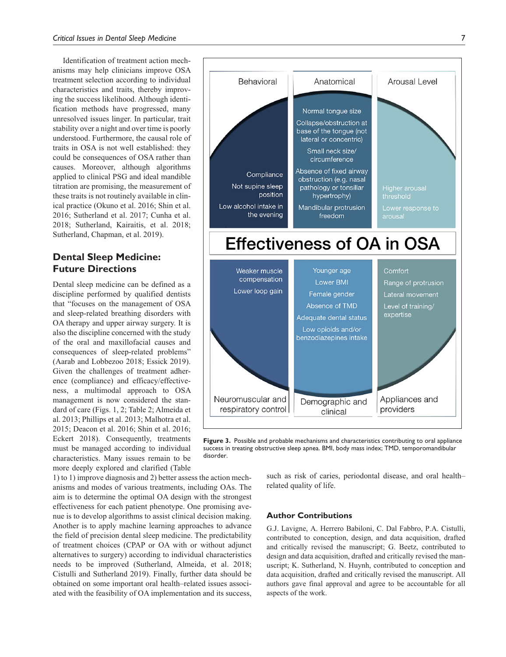Identification of treatment action mechanisms may help clinicians improve OSA treatment selection according to individual characteristics and traits, thereby improving the success likelihood. Although identification methods have progressed, many unresolved issues linger. In particular, trait stability over a night and over time is poorly understood. Furthermore, the causal role of traits in OSA is not well established: they could be consequences of OSA rather than causes. Moreover, although algorithms applied to clinical PSG and ideal mandible titration are promising, the measurement of these traits is not routinely available in clinical practice (Okuno et al. 2016; Shin et al. 2016; Sutherland et al. 2017; Cunha et al. 2018; Sutherland, Kairaitis, et al. 2018; Sutherland, Chapman, et al. 2019).

# **Dental Sleep Medicine: Future Directions**

Dental sleep medicine can be defined as a discipline performed by qualified dentists that "focuses on the management of OSA and sleep-related breathing disorders with OA therapy and upper airway surgery. It is also the discipline concerned with the study of the oral and maxillofacial causes and consequences of sleep-related problems" (Aarab and Lobbezoo 2018; Essick 2019). Given the challenges of treatment adherence (compliance) and efficacy/effectiveness, a multimodal approach to OSA management is now considered the standard of care (Figs. 1, 2; Table 2; Almeida et al. 2013; Phillips et al. 2013; Malhotra et al. 2015; Deacon et al. 2016; Shin et al. 2016; Eckert 2018). Consequently, treatments must be managed according to individual characteristics. Many issues remain to be more deeply explored and clarified (Table

1) to 1) improve diagnosis and 2) better assess the action mechanisms and modes of various treatments, including OAs. The aim is to determine the optimal OA design with the strongest effectiveness for each patient phenotype. One promising avenue is to develop algorithms to assist clinical decision making. Another is to apply machine learning approaches to advance the field of precision dental sleep medicine. The predictability of treatment choices (CPAP or OA with or without adjunct alternatives to surgery) according to individual characteristics needs to be improved (Sutherland, Almeida, et al. 2018; Cistulli and Sutherland 2019). Finally, further data should be obtained on some important oral health–related issues associated with the feasibility of OA implementation and its success,



**Figure 3.** Possible and probable mechanisms and characteristics contributing to oral appliance success in treating obstructive sleep apnea. BMI, body mass index; TMD, temporomandibular disorder.

such as risk of caries, periodontal disease, and oral health– related quality of life.

#### **Author Contributions**

G.J. Lavigne, A. Herrero Babiloni, C. Dal Fabbro, P.A. Cistulli, contributed to conception, design, and data acquisition, drafted and critically revised the manuscript; G. Beetz, contributed to design and data acquisition, drafted and critically revised the manuscript; K. Sutherland, N. Huynh, contributed to conception and data acquisition, drafted and critically revised the manuscript. All authors gave final approval and agree to be accountable for all aspects of the work.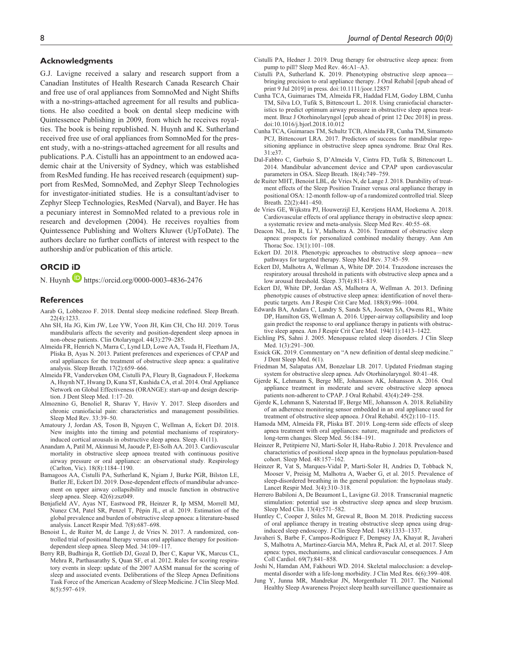#### **Acknowledgments**

G.J. Lavigne received a salary and research support from a Canadian Institutes of Health Research Canada Research Chair and free use of oral appliances from SomnoMed and Night Shifts with a no-strings-attached agreement for all results and publications. He also coedited a book on dental sleep medicine with Quintessence Publishing in 2009, from which he receives royalties. The book is being republished. N. Huynh and K. Sutherland received free use of oral appliances from SomnoMed for the present study, with a no-strings-attached agreement for all results and publications. P.A. Cistulli has an appointment to an endowed academic chair at the University of Sydney, which was established from ResMed funding. He has received research (equipment) support from ResMed, SomnoMed, and Zephyr Sleep Technologies for investigator-initiated studies. He is a consultant/adviser to Zephyr Sleep Technologies, ResMed (Narval), and Bayer. He has a pecuniary interest in SomnoMed related to a previous role in research and developmen (2004). He receives royalties from Quintessence Publishing and Wolters Kluwer (UpToDate). The authors declare no further conflicts of interest with respect to the authorship and/or publication of this article.

### **ORCID iD**

N. Huynh <https://orcid.org/0000-0003-4836-2476>

#### **References**

- Aarab G, Lobbezoo F. 2018. Dental sleep medicine redefined. Sleep Breath. 22(4):1233.
- Ahn SH, Ha JG, Kim JW, Lee YW, Yoon JH, Kim CH, Cho HJ. 2019. Torus mandibularis affects the severity and position-dependent sleep apnoea in non-obese patients. Clin Otolaryngol. 44(3):279–285.
- Almeida FR, Henrich N, Marra C, Lynd LD, Lowe AA, Tsuda H, Fleetham JA, Pliska B, Ayas N. 2013. Patient preferences and experiences of CPAP and oral appliances for the treatment of obstructive sleep apnea: a qualitative analysis. Sleep Breath. 17(2):659–666.
- Almeida FR, Vanderveken OM, Cistulli PA, Fleury B, Gagnadoux F, Hoekema A, Huynh NT, Hwang D, Kuna ST, Kushida CA, et al. 2014. Oral Appliance Network on Global Effectiveness (ORANGE): start-up and design description. J Dent Sleep Med. 1:17–20.
- Almoznino G, Benoliel R, Sharav Y, Haviv Y. 2017. Sleep disorders and chronic craniofacial pain: characteristics and management possibilities. Sleep Med Rev. 33:39–50.
- Amatoury J, Jordan AS, Toson B, Nguyen C, Wellman A, Eckert DJ. 2018. New insights into the timing and potential mechanisms of respiratoryinduced cortical arousals in obstructive sleep apnea. Sleep. 41(11).
- Anandam A, Patil M, Akinnusi M, Jaoude P, El-Solh AA. 2013. Cardiovascular mortality in obstructive sleep apnoea treated with continuous positive airway pressure or oral appliance: an observational study. Respirology (Carlton, Vic). 18(8):1184–1190.
- Bamagoos AA, Cistulli PA, Sutherland K, Ngiam J, Burke PGR, Bilston LE, Butler JE, Eckert DJ. 2019. Dose-dependent effects of mandibular advancement on upper airway collapsibility and muscle function in obstructive sleep apnea. Sleep. 42(6):zsz049.
- Benjafield AV, Ayas NT, Eastwood PR, Heinzer R, Ip MSM, Morrell MJ, Nunez CM, Patel SR, Penzel T, Pépin JL, et al. 2019. Estimation of the global prevalence and burden of obstructive sleep apnoea: a literature-based analysis. Lancet Respir Med. 7(8):687–698.
- Benoist L, de Ruiter M, de Lange J, de Vries N. 2017. A randomized, controlled trial of positional therapy versus oral appliance therapy for positiondependent sleep apnea. Sleep Med. 34:109–117.
- Berry RB, Budhiraja R, Gottlieb DJ, Gozal D, Iber C, Kapur VK, Marcus CL, Mehra R, Parthasarathy S, Quan SF, et al. 2012. Rules for scoring respiratory events in sleep: update of the 2007 AASM manual for the scoring of sleep and associated events. Deliberations of the Sleep Apnea Definitions Task Force of the American Academy of Sleep Medicine. J Clin Sleep Med. 8(5):597–619.
- Cistulli PA, Hedner J. 2019. Drug therapy for obstructive sleep apnea: from pump to pill? Sleep Med Rev. 46:A1–A3.
- Cistulli PA, Sutherland K. 2019. Phenotyping obstructive sleep apnoea bringing precision to oral appliance therapy. J Oral Rehabil [epub ahead of print 9 Jul 2019] in press. doi:10.1111/joor.12857
- Cunha TCA, Guimaraes TM, Almeida FR, Haddad FLM, Godoy LBM, Cunha TM, Silva LO, Tufik S, Bittencourt L. 2018. Using craniofacial characteristics to predict optimum airway pressure in obstructive sleep apnea treatment. Braz J Otorhinolaryngol [epub ahead of print 12 Dec 2018] in press. doi:10.1016/j.bjorl.2018.10.012
- Cunha TCA, Guimaraes TM, Schultz TCB, Almeida FR, Cunha TM, Simamoto PCJ, Bittencourt LRA. 2017. Predictors of success for mandibular repositioning appliance in obstructive sleep apnea syndrome. Braz Oral Res. 31:e37.
- Dal-Fabbro C, Garbuio S, D'Almeida V, Cintra FD, Tufik S, Bittencourt L. 2014. Mandibular advancement device and CPAP upon cardiovascular parameters in OSA. Sleep Breath. 18(4):749–759.
- de Ruiter MHT, Benoist LBL, de Vries N, de Lange J. 2018. Durability of treatment effects of the Sleep Position Trainer versus oral appliance therapy in positional OSA: 12-month follow-up of a randomized controlled trial. Sleep Breath. 22(2):441–450.
- de Vries GE, Wijkstra PJ, Houwerzijl EJ, Kerstjens HAM, Hoekema A. 2018. Cardiovascular effects of oral appliance therapy in obstructive sleep apnea: a systematic review and meta-analysis. Sleep Med Rev. 40:55–68.
- Deacon NL, Jen R, Li Y, Malhotra A. 2016. Treatment of obstructive sleep apnea: prospects for personalized combined modality therapy. Ann Am Thorac Soc. 13(1):101–108.
- Eckert DJ. 2018. Phenotypic approaches to obstructive sleep apnoea—new pathways for targeted therapy. Sleep Med Rev. 37:45–59.
- Eckert DJ, Malhotra A, Wellman A, White DP. 2014. Trazodone increases the respiratory arousal threshold in patients with obstructive sleep apnea and a low arousal threshold. Sleep. 37(4):811–819.
- Eckert DJ, White DP, Jordan AS, Malhotra A, Wellman A. 2013. Defining phenotypic causes of obstructive sleep apnea: identification of novel therapeutic targets. Am J Respir Crit Care Med. 188(8):996–1004.
- Edwards BA, Andara C, Landry S, Sands SA, Joosten SA, Owens RL, White DP, Hamilton GS, Wellman A. 2016. Upper-airway collapsibility and loop gain predict the response to oral appliance therapy in patients with obstructive sleep apnea. Am J Respir Crit Care Med. 194(11):1413–1422.
- Eichling PS, Sahni J. 2005. Menopause related sleep disorders. J Clin Sleep Med. 1(3):291–300.
- Essick GK. 2019. Commentary on "A new definition of dental sleep medicine." J Dent Sleep Med. 6(1).
- Friedman M, Salapatas AM, Bonzelaar LB. 2017. Updated Friedman staging system for obstructive sleep apnea. Adv Otorhinolaryngol. 80:41–48.
- Gjerde K, Lehmann S, Berge ME, Johansson AK, Johansson A. 2016. Oral appliance treatment in moderate and severe obstructive sleep apnoea patients non-adherent to CPAP. J Oral Rehabil. 43(4):249–258.
- Gjerde K, Lehmann S, Naterstad IF, Berge ME, Johansson A. 2018. Reliability of an adherence monitoring sensor embedded in an oral appliance used for treatment of obstructive sleep apnoea. J Oral Rehabil. 45(2):110–115.
- Hamoda MM, Almeida FR, Pliska BT. 2019. Long-term side effects of sleep apnea treatment with oral appliances: nature, magnitude and predictors of long-term changes. Sleep Med. 56:184–191.
- Heinzer R, Petitpierre NJ, Marti-Soler H, Haba-Rubio J. 2018. Prevalence and characteristics of positional sleep apnea in the hypnolaus population-based cohort. Sleep Med. 48:157–162.
- Heinzer R, Vat S, Marques-Vidal P, Marti-Soler H, Andries D, Tobback N, Mooser V, Preisig M, Malhotra A, Waeber G, et al. 2015. Prevalence of sleep-disordered breathing in the general population: the hypnolaus study. Lancet Respir Med. 3(4):310–318.
- Herrero Babiloni A, De Beaumont L, Lavigne GJ. 2018. Transcranial magnetic stimulation: potential use in obstructive sleep apnea and sleep bruxism. Sleep Med Clin. 13(4):571–582.
- Huntley C, Cooper J, Stiles M, Grewal R, Boon M. 2018. Predicting success of oral appliance therapy in treating obstructive sleep apnea using druginduced sleep endoscopy. J Clin Sleep Med. 14(8):1333–1337.
- Javaheri S, Barbe F, Campos-Rodriguez F, Dempsey JA, Khayat R, Javaheri S, Malhotra A, Martinez-Garcia MA, Mehra R, Pack AI, et al. 2017. Sleep apnea: types, mechanisms, and clinical cardiovascular consequences. J Am Coll Cardiol. 69(7):841–858.
- Joshi N, Hamdan AM, Fakhouri WD. 2014. Skeletal malocclusion: a developmental disorder with a life-long morbidity. J Clin Med Res. 6(6):399–408.
- Jung Y, Junna MR, Mandrekar JN, Morgenthaler TI. 2017. The National Healthy Sleep Awareness Project sleep health surveillance questionnaire as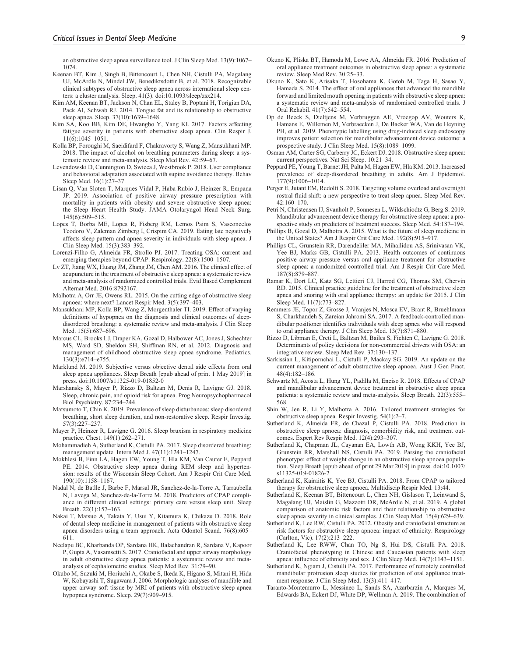an obstructive sleep apnea surveillance tool. J Clin Sleep Med. 13(9):1067– 1074.

- Keenan BT, Kim J, Singh B, Bittencourt L, Chen NH, Cistulli PA, Magalang UJ, McArdle N, Mindel JW, Benediktsdottir B, et al. 2018. Recognizable clinical subtypes of obstructive sleep apnea across international sleep centers: a cluster analysis. Sleep. 41(3). doi:10.1093/sleep/zsx214.
- Kim AM, Keenan BT, Jackson N, Chan EL, Staley B, Poptani H, Torigian DA, Pack AI, Schwab RJ. 2014. Tongue fat and its relationship to obstructive sleep apnea. Sleep. 37(10):1639–1648.
- Kim SA, Koo BB, Kim DE, Hwangbo Y, Yang KI. 2017. Factors affecting fatigue severity in patients with obstructive sleep apnea. Clin Respir J. 11(6):1045–1051.
- Kolla BP, Foroughi M, Saeidifard F, Chakravorty S, Wang Z, Mansukhani MP. 2018. The impact of alcohol on breathing parameters during sleep: a systematic review and meta-analysis. Sleep Med Rev. 42:59–67.
- Levendowski D, Cunnington D, Swieca J, Westbrook P. 2018. User compliance and behavioral adaptation associated with supine avoidance therapy. Behav Sleep Med. 16(1):27–37.
- Lisan Q, Van Sloten T, Marques Vidal P, Haba Rubio J, Heinzer R, Empana JP. 2019. Association of positive airway pressure prescription with mortality in patients with obesity and severe obstructive sleep apnea: the Sleep Heart Health Study. JAMA Otolaryngol Head Neck Surg. 145(6):509–515.
- Lopes T, Borba ME, Lopes R, Fisberg RM, Lemos Paim S, Vasconcelos Teodoro V, Zalcman Zimberg I, Crispim CA. 2019. Eating late negatively affects sleep pattern and apnea severity in individuals with sleep apnea. J Clin Sleep Med. 15(3):383–392.
- Lorenzi-Filho G, Almeida FR, Strollo PJ. 2017. Treating OSA: current and emerging therapies beyond CPAP. Respirology. 22(8):1500–1507.
- Lv ZT, Jiang WX, Huang JM, Zhang JM, Chen AM. 2016. The clinical effect of acupuncture in the treatment of obstructive sleep apnea: a systematic review and meta-analysis of randomized controlled trials. Evid Based Complement Alternat Med. 2016:8792167.
- Malhotra A, Orr JE, Owens RL. 2015. On the cutting edge of obstructive sleep apnoea: where next? Lancet Respir Med. 3(5):397–403.
- Mansukhani MP, Kolla BP, Wang Z, Morgenthaler TI. 2019. Effect of varying definitions of hypopnea on the diagnosis and clinical outcomes of sleepdisordered breathing: a systematic review and meta-analysis. J Clin Sleep Med. 15(5):687–696.
- Marcus CL, Brooks LJ, Draper KA, Gozal D, Halbower AC, Jones J, Schechter MS, Ward SD, Sheldon SH, Shiffman RN, et al. 2012. Diagnosis and management of childhood obstructive sleep apnea syndrome. Pediatrics. 130(3):e714–e755.
- Marklund M. 2019. Subjective versus objective dental side effects from oral sleep apnea appliances. Sleep Breath [epub ahead of print 1 May 2019] in press. doi:10.1007/s11325-019-01852-0
- Marshansky S, Mayer P, Rizzo D, Baltzan M, Denis R, Lavigne GJ. 2018. Sleep, chronic pain, and opioid risk for apnea. Prog Neuropsychopharmacol Biol Psychiatry. 87:234–244.
- Matsumoto T, Chin K. 2019. Prevalence of sleep disturbances: sleep disordered breathing, short sleep duration, and non-restorative sleep. Respir Investig. 57(3):227–237.
- Mayer P, Heinzer R, Lavigne G. 2016. Sleep bruxism in respiratory medicine practice. Chest. 149(1):262–271.
- Mohammadieh A, Sutherland K, Cistulli PA. 2017. Sleep disordered breathing: management update. Intern Med J. 47(11):1241–1247.
- Mokhlesi B, Finn LA, Hagen EW, Young T, Hla KM, Van Cauter E, Peppard PE. 2014. Obstructive sleep apnea during REM sleep and hypertension: results of the Wisconsin Sleep Cohort. Am J Respir Crit Care Med. 190(10):1158–1167.
- Nadal N, de Batlle J, Barbe F, Marsal JR, Sanchez-de-la-Torre A, Tarraubella N, Lavega M, Sanchez-de-la-Torre M. 2018. Predictors of CPAP compliance in different clinical settings: primary care versus sleep unit. Sleep Breath. 22(1):157–163.
- Nakai T, Matsuo A, Takata Y, Usui Y, Kitamura K, Chikazu D. 2018. Role of dental sleep medicine in management of patients with obstructive sleep apnea disorders using a team approach. Acta Odontol Scand. 76(8):605– 611.
- Neelapu BC, Kharbanda OP, Sardana HK, Balachandran R, Sardana V, Kapoor P, Gupta A, Vasamsetti S. 2017. Craniofacial and upper airway morphology in adult obstructive sleep apnea patients: a systematic review and metaanalysis of cephalometric studies. Sleep Med Rev. 31:79–90.
- Okubo M, Suzuki M, Horiuchi A, Okabe S, Ikeda K, Higano S, Mitani H, Hida W, Kobayashi T, Sugawara J. 2006. Morphologic analyses of mandible and upper airway soft tissue by MRI of patients with obstructive sleep apnea hypopnea syndrome. Sleep. 29(7):909–915.
- Okuno K, Pliska BT, Hamoda M, Lowe AA, Almeida FR. 2016. Prediction of oral appliance treatment outcomes in obstructive sleep apnea: a systematic review. Sleep Med Rev. 30:25–33.
- Okuno K, Sato K, Arisaka T, Hosohama K, Gotoh M, Taga H, Sasao Y, Hamada S. 2014. The effect of oral appliances that advanced the mandible forward and limited mouth opening in patients with obstructive sleep apnea: a systematic review and meta-analysis of randomised controlled trials. J Oral Rehabil. 41(7):542–554.
- Op de Beeck S, Dieltjens M, Verbruggen AE, Vroegop AV, Wouters K, Hamans E, Willemen M, Verbraecken J, De Backer WA, Van de Heyning PH, et al. 2019. Phenotypic labelling using drug-induced sleep endoscopy improves patient selection for mandibular advancement device outcome: a prospective study. J Clin Sleep Med. 15(8):1089–1099.
- Osman AM, Carter SG, Carberry JC, Eckert DJ. 2018. Obstructive sleep apnea: current perspectives. Nat Sci Sleep. 10:21–34.
- Peppard PE, Young T, Barnet JH, Palta M, Hagen EW, Hla KM. 2013. Increased prevalence of sleep-disordered breathing in adults. Am J Epidemiol. 177(9):1006–1014.
- Perger E, Jutant EM, Redolfi S. 2018. Targeting volume overload and overnight rostral fluid shift: a new perspective to treat sleep apnea. Sleep Med Rev. 42:160–170.
- Petri N, Christensen IJ, Svanholt P, Sonnesen L, Wildschiodtz G, Berg S. 2019. Mandibular advancement device therapy for obstructive sleep apnea: a prospective study on predictors of treatment success. Sleep Med. 54:187–194.
- Phillips B, Gozal D, Malhotra A. 2015. What is the future of sleep medicine in the United States? Am J Respir Crit Care Med. 192(8):915–917.
- Phillips CL, Grunstein RR, Darendeliler MA, Mihailidou AS, Srinivasan VK, Yee BJ, Marks GB, Cistulli PA. 2013. Health outcomes of continuous positive airway pressure versus oral appliance treatment for obstructive sleep apnea: a randomized controlled trial. Am J Respir Crit Care Med. 187(8):879–887.
- Ramar K, Dort LC, Katz SG, Lettieri CJ, Harrod CG, Thomas SM, Chervin RD. 2015. Clinical practice guideline for the treatment of obstructive sleep apnea and snoring with oral appliance therapy: an update for 2015. J Clin Sleep Med. 11(7):773–827.
- Remmers JE, Topor Z, Grosse J, Vranjes N, Mosca EV, Brant R, Bruehlmann S, Charkhandeh S, Zareian Jahromi SA. 2017. A feedback-controlled mandibular positioner identifies individuals with sleep apnea who will respond to oral appliance therapy. J Clin Sleep Med. 13(7):871–880.
- Rizzo D, Libman E, Creti L, Baltzan M, Bailes S, Fichten C, Lavigne G. 2018. Determinants of policy decisions for non-commercial drivers with OSA: an integrative review. Sleep Med Rev. 37:130–137.
- Sarkissian L, Kitipornchai L, Cistulli P, Mackay SG. 2019. An update on the current management of adult obstructive sleep apnoea. Aust J Gen Pract. 48(4):182–186.
- Schwartz M, Acosta L, Hung YL, Padilla M, Enciso R. 2018. Effects of CPAP and mandibular advancement device treatment in obstructive sleep apnea patients: a systematic review and meta-analysis. Sleep Breath. 22(3):555– 568.
- Shin W, Jen R, Li Y, Malhotra A. 2016. Tailored treatment strategies for obstructive sleep apnea. Respir Investig. 54(1):2–7.
- Sutherland K, Almeida FR, de Chazal P, Cistulli PA. 2018. Prediction in obstructive sleep apnoea: diagnosis, comorbidity risk, and treatment outcomes. Expert Rev Respir Med. 12(4):293–307.
- Sutherland K, Chapman JL, Cayanan EA, Lowth AB, Wong KKH, Yee BJ, Grunstein RR, Marshall NS, Cistulli PA. 2019. Parsing the craniofacial phenotype: effect of weight change in an obstructive sleep apnoea population. Sleep Breath [epub ahead of print 29 Mar 2019] in press. doi:10.1007/ s11325-019-01826-2
- Sutherland K, Kairaitis K, Yee BJ, Cistulli PA. 2018. From CPAP to tailored therapy for obstructive sleep apnoea. Multidiscip Respir Med. 13:44.
- Sutherland K, Keenan BT, Bittencourt L, Chen NH, Gislason T, Leinwand S, Magalang UJ, Maislin G, Mazzotti DR, McArdle N, et al. 2019. A global comparison of anatomic risk factors and their relationship to obstructive sleep apnea severity in clinical samples. J Clin Sleep Med. 15(4):629–639.
- Sutherland K, Lee RW, Cistulli PA. 2012. Obesity and craniofacial structure as risk factors for obstructive sleep apnoea: impact of ethnicity. Respirology (Carlton, Vic). 17(2):213–222.
- Sutherland K, Lee RWW, Chan TO, Ng S, Hui DS, Cistulli PA. 2018. Craniofacial phenotyping in Chinese and Caucasian patients with sleep apnea: influence of ethnicity and sex. J Clin Sleep Med. 14(7):1143–1151.
- Sutherland K, Ngiam J, Cistulli PA. 2017. Performance of remotely controlled mandibular protrusion sleep studies for prediction of oral appliance treatment response. J Clin Sleep Med. 13(3):411–417.
- Taranto-Montemurro L, Messineo L, Sands SA, Azarbarzin A, Marques M, Edwards BA, Eckert DJ, White DP, Wellman A. 2019. The combination of